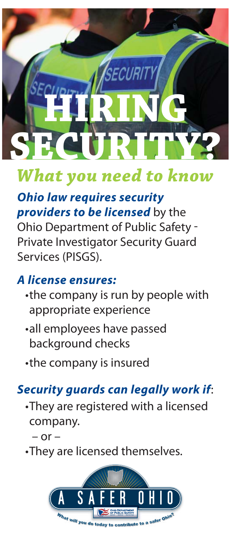# SECURIT **HIRING SECURITY?**

# *What you need to know*

# *Ohio law requires security providers to be licensed* by the

Ohio Department of Public Safety - Private Investigator Security Guard Services (PISGS).

# *A license ensures:*

- the company is run by people with appropriate experience
- all employees have passed background checks
- the company is insured

# *Security guards can legally work if*:

• They are registered with a licensed company.

 $-$  or  $-$ 

• They are licensed themselves.